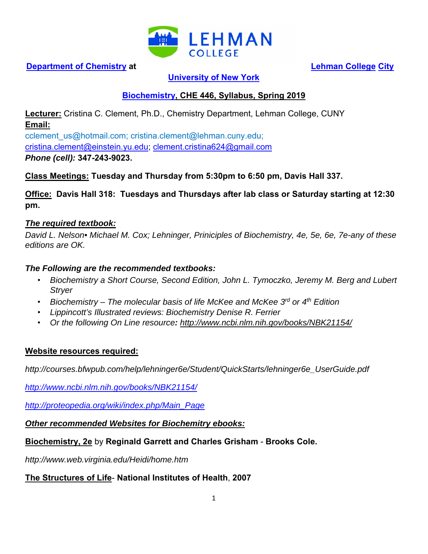

**Department of Chemistry at College City Lehman College** City

### **University of New York**

### **Biochemistry, CHE 446, Syllabus, Spring 2019**

**Lecturer:** Cristina C. Clement, Ph.D., Chemistry Department, Lehman College, CUNY **Email:**  cclement\_us@hotmail.com; cristina.clement@lehman.cuny.edu;

cristina.clement@einstein.yu.edu; clement.cristina624@gmail.com *Phone (cell):* **347-243-9023.** 

### **Class Meetings: Tuesday and Thursday from 5:30pm to 6:50 pm, Davis Hall 337.**

**Office: Davis Hall 318: Tuesdays and Thursdays after lab class or Saturday starting at 12:30 pm.** 

#### *The required textbook:*

*David L. Nelson• Michael M. Cox; Lehninger, Priniciples of Biochemistry, 4e, 5e, 6e, 7e-any of these editions are OK.* 

#### *The Following are the recommended textbooks:*

- *Biochemistry a Short Course, Second Edition, John L. Tymoczko, Jeremy M. Berg and Lubert Stryer*
- Biochemistry The molecular basis of life McKee and McKee 3<sup>rd</sup> or 4<sup>th</sup> Edition
- *Lippincott's Illustrated reviews: Biochemistry Denise R. Ferrier*
- *Or the following On Line resource: http://www.ncbi.nlm.nih.gov/books/NBK21154/*

#### **Website resources required:**

*http://courses.bfwpub.com/help/lehninger6e/Student/QuickStarts/lehninger6e\_UserGuide.pdf* 

*http://www.ncbi.nlm.nih.gov/books/NBK21154/*

*http://proteopedia.org/wiki/index.php/Main\_Page*

*Other recommended Websites for Biochemitry ebooks:* 

# **Biochemistry, 2e** by **Reginald Garrett and Charles Grisham** - **Brooks Cole.**

*http://www.web.virginia.edu/Heidi/home.htm* 

#### **The Structures of Life**- **National Institutes of Health**, **2007**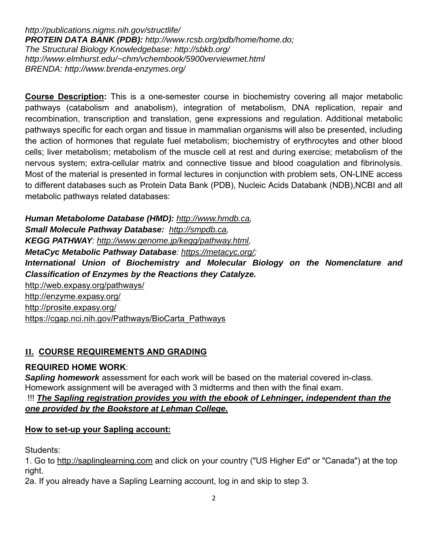*http://publications.nigms.nih.gov/structlife/ PROTEIN DATA BANK (PDB): http://www.rcsb.org/pdb/home/home.do; The Structural Biology Knowledgebase: http://sbkb.org/ http://www.elmhurst.edu/~chm/vchembook/5900verviewmet.html BRENDA: http://www.brenda-enzymes.org/* 

**Course Description:** This is a one-semester course in biochemistry covering all major metabolic pathways (catabolism and anabolism), integration of metabolism, DNA replication, repair and recombination, transcription and translation, gene expressions and regulation. Additional metabolic pathways specific for each organ and tissue in mammalian organisms will also be presented, including the action of hormones that regulate fuel metabolism; biochemistry of erythrocytes and other blood cells; liver metabolism; metabolism of the muscle cell at rest and during exercise; metabolism of the nervous system; extra-cellular matrix and connective tissue and blood coagulation and fibrinolysis. Most of the material is presented in formal lectures in conjunction with problem sets, ON-LINE access to different databases such as Protein Data Bank (PDB), Nucleic Acids Databank (NDB),NCBI and all metabolic pathways related databases:

*Human Metabolome Database (HMD): http://www.hmdb.ca, Small Molecule Pathway Database: http://smpdb.ca, KEGG PATHWAY: http://www.genome.jp/kegg/pathway.html, MetaCyc Metabolic Pathway Database: https://metacyc.org/; International Union of Biochemistry and Molecular Biology on the Nomenclature and Classification of Enzymes by the Reactions they Catalyze.*  http://web.expasy.org/pathways/ http://enzyme.expasy.org/ http://prosite.expasy.org/

https://cgap.nci.nih.gov/Pathways/BioCarta\_Pathways

# **II. COURSE REQUIREMENTS AND GRADING**

# **REQUIRED HOME WORK**:

*Sapling homework* assessment for each work will be based on the material covered in-class. Homework assignment will be averaged with 3 midterms and then with the final exam.

# !!! *The Sapling registration provides you with the ebook of Lehninger, independent than the one provided by the Bookstore at Lehman College.*

# **How to set-up your Sapling account:**

Students:

1. Go to http://saplinglearning.com and click on your country ("US Higher Ed" or "Canada") at the top right.

2a. If you already have a Sapling Learning account, log in and skip to step 3.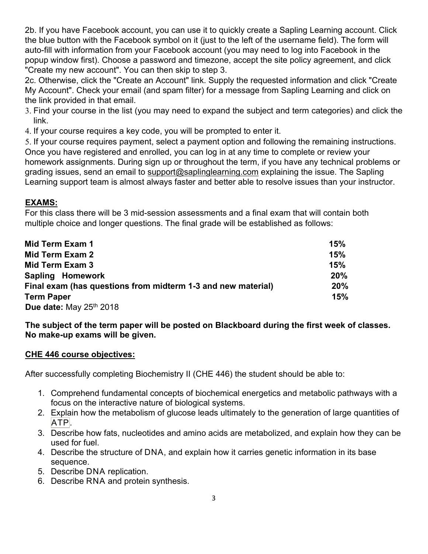2b. If you have Facebook account, you can use it to quickly create a Sapling Learning account. Click the blue button with the Facebook symbol on it (just to the left of the username field). The form will auto-fill with information from your Facebook account (you may need to log into Facebook in the popup window first). Choose a password and timezone, accept the site policy agreement, and click "Create my new account". You can then skip to step 3.

2c. Otherwise, click the "Create an Account" link. Supply the requested information and click "Create My Account". Check your email (and spam filter) for a message from Sapling Learning and click on the link provided in that email.

- 3. Find your course in the list (you may need to expand the subject and term categories) and click the link.
- 4. If your course requires a key code, you will be prompted to enter it.

5. If your course requires payment, select a payment option and following the remaining instructions. Once you have registered and enrolled, you can log in at any time to complete or review your homework assignments. During sign up or throughout the term, if you have any technical problems or grading issues, send an email to support@saplinglearning.com explaining the issue. The Sapling Learning support team is almost always faster and better able to resolve issues than your instructor.

#### **EXAMS:**

For this class there will be 3 mid-session assessments and a final exam that will contain both multiple choice and longer questions. The final grade will be established as follows:

| Mid Term Exam 1                                              | 15% |
|--------------------------------------------------------------|-----|
| Mid Term Exam 2                                              | 15% |
| Mid Term Exam 3                                              | 15% |
| Sapling Homework                                             | 20% |
| Final exam (has questions from midterm 1-3 and new material) | 20% |
| <b>Term Paper</b>                                            | 15% |
| Due date: May 25th 2018                                      |     |

**The subject of the term paper will be posted on Blackboard during the first week of classes. No make-up exams will be given.**

#### **CHE 446 course objectives:**

After successfully completing Biochemistry II (CHE 446) the student should be able to:

- 1. Comprehend fundamental concepts of biochemical energetics and metabolic pathways with a focus on the interactive nature of biological systems.
- 2. Explain how the metabolism of glucose leads ultimately to the generation of large quantities of ATP.
- 3. Describe how fats, nucleotides and amino acids are metabolized, and explain how they can be used for fuel.
- 4. Describe the structure of DNA, and explain how it carries genetic information in its base sequence.
- 5. Describe DNA replication.
- 6. Describe RNA and protein synthesis.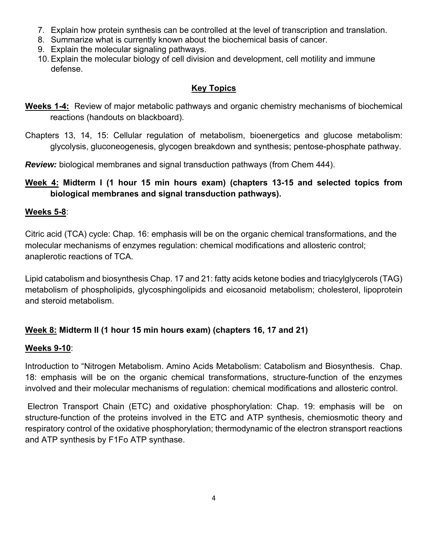- 7. Explain how protein synthesis can be controlled at the level of transcription and translation.
- 8. Summarize what is currently known about the biochemical basis of cancer.
- 9. Explain the molecular signaling pathways.
- 10. Explain the molecular biology of cell division and development, cell motility and immune defense.

# **Key Topics**

- **Weeks 1-4:** Review of major metabolic pathways and organic chemistry mechanisms of biochemical reactions (handouts on blackboard).
- Chapters 13, 14, 15: Cellular regulation of metabolism, bioenergetics and glucose metabolism: glycolysis, gluconeogenesis, glycogen breakdown and synthesis; pentose-phosphate pathway.

*Review:* biological membranes and signal transduction pathways (from Chem 444).

# **Week 4: Midterm I (1 hour 15 min hours exam) (chapters 13-15 and selected topics from biological membranes and signal transduction pathways).**

### **Weeks 5-8**:

Citric acid (TCA) cycle: Chap. 16: emphasis will be on the organic chemical transformations, and the molecular mechanisms of enzymes regulation: chemical modifications and allosteric control; anaplerotic reactions of TCA.

Lipid catabolism and biosynthesis Chap. 17 and 21: fatty acids ketone bodies and triacylglycerols (TAG) metabolism of phospholipids, glycosphingolipids and eicosanoid metabolism; cholesterol, lipoprotein and steroid metabolism.

# **Week 8: Midterm II (1 hour 15 min hours exam) (chapters 16, 17 and 21)**

# **Weeks 9-10**:

Introduction to "Nitrogen Metabolism. Amino Acids Metabolism: Catabolism and Biosynthesis. Chap. 18: emphasis will be on the organic chemical transformations, structure-function of the enzymes involved and their molecular mechanisms of regulation: chemical modifications and allosteric control.

Electron Transport Chain (ETC) and oxidative phosphorylation: Chap. 19: emphasis will be on structure-function of the proteins involved in the ETC and ATP synthesis, chemiosmotic theory and respiratory control of the oxidative phosphorylation; thermodynamic of the electron stransport reactions and ATP synthesis by F1Fo ATP synthase.